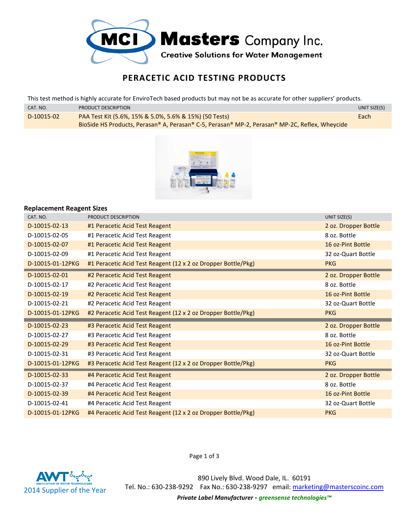

## **PERACETIC ACID TESTING PRODUCTS**

This test method is highly accurate for EnviroTech based products but may not be as accurate for other suppliers' products.

| CAT. NO.   | PRODUCT DESCRIPTION                                                                            | UNIT SIZE(S) |
|------------|------------------------------------------------------------------------------------------------|--------------|
| D-10015-02 | PAA Test Kit (5.6%, 15% & 5.0%, 5.6% & 15%) (50 Tests)                                         | Each         |
|            | BioSide HS Products, Perasan® A, Perasan® C-5, Perasan® MP-2, Perasan® MP-2C, Reflex, Wheycide |              |



## **Replacement Reagent Sizes**

| CAT. NO.         | PRODUCT DESCRIPTION                                           | UNIT SIZE(S)         |
|------------------|---------------------------------------------------------------|----------------------|
| D-10015-02-13    | #1 Peracetic Acid Test Reagent                                | 2 oz. Dropper Bottle |
| D-10015-02-05    | #1 Peracetic Acid Test Reagent                                | 8 oz. Bottle         |
| D-10015-02-07    | #1 Peracetic Acid Test Reagent                                | 16 oz-Pint Bottle    |
| D-10015-02-09    | #1 Peracetic Acid Test Reagent                                | 32 oz-Quart Bottle   |
| D-10015-01-12PKG | #1 Peracetic Acid Test Reagent (12 x 2 oz Dropper Bottle/Pkg) | <b>PKG</b>           |
| D-10015-02-01    | #2 Peracetic Acid Test Reagent                                | 2 oz. Dropper Bottle |
| D-10015-02-17    | #2 Peracetic Acid Test Reagent                                | 8 oz. Bottle         |
| D-10015-02-19    | #2 Peracetic Acid Test Reagent                                | 16 oz-Pint Bottle    |
| D-10015-02-21    | #2 Peracetic Acid Test Reagent                                | 32 oz-Quart Bottle   |
| D-10015-01-12PKG | #2 Peracetic Acid Test Reagent (12 x 2 oz Dropper Bottle/Pkg) | <b>PKG</b>           |
|                  |                                                               |                      |
| D-10015-02-23    | #3 Peracetic Acid Test Reagent                                | 2 oz. Dropper Bottle |
| D-10015-02-27    | #3 Peracetic Acid Test Reagent                                | 8 oz. Bottle         |
| D-10015-02-29    | #3 Peracetic Acid Test Reagent                                | 16 oz-Pint Bottle    |
| D-10015-02-31    | #3 Peracetic Acid Test Reagent                                | 32 oz-Quart Bottle   |
| D-10015-01-12PKG | #3 Peracetic Acid Test Reagent (12 x 2 oz Dropper Bottle/Pkg) | <b>PKG</b>           |
| D-10015-02-33    | #4 Peracetic Acid Test Reagent                                | 2 oz. Dropper Bottle |
| D-10015-02-37    | #4 Peracetic Acid Test Reagent                                | 8 oz. Bottle         |
| D-10015-02-39    | #4 Peracetic Acid Test Reagent                                | 16 oz-Pint Bottle    |
| D-10015-02-41    | #4 Peracetic Acid Test Reagent                                | 32 oz-Quart Bottle   |



Page 1 of 3

890 Lively Blvd. Wood Dale, IL. 60191 Tel. No.: 630-238-9292 Fax No.: 630-238-9297 email: marketing@masterscoinc.com *Private Label Manufacturer - greensense technologies™*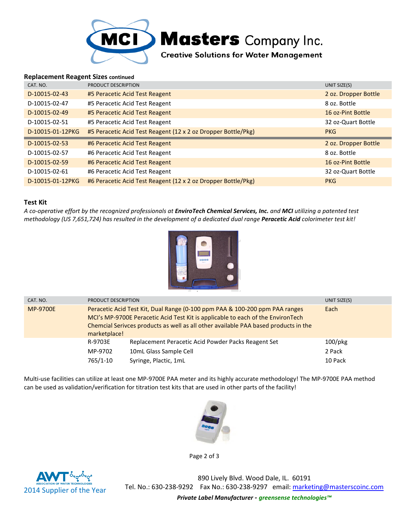

## **Replacement Reagent Sizes continued**

| CAT. NO.         | PRODUCT DESCRIPTION                                           | UNIT SIZE(S)         |
|------------------|---------------------------------------------------------------|----------------------|
| D-10015-02-43    | #5 Peracetic Acid Test Reagent                                | 2 oz. Dropper Bottle |
| D-10015-02-47    | #5 Peracetic Acid Test Reagent                                | 8 oz. Bottle         |
| D-10015-02-49    | #5 Peracetic Acid Test Reagent                                | 16 oz-Pint Bottle    |
| D-10015-02-51    | #5 Peracetic Acid Test Reagent                                | 32 oz-Quart Bottle   |
| D-10015-01-12PKG | #5 Peracetic Acid Test Reagent (12 x 2 oz Dropper Bottle/Pkg) | <b>PKG</b>           |
|                  |                                                               |                      |
| D-10015-02-53    | #6 Peracetic Acid Test Reagent                                | 2 oz. Dropper Bottle |
| D-10015-02-57    | #6 Peracetic Acid Test Reagent                                | 8 oz. Bottle         |
| D-10015-02-59    | #6 Peracetic Acid Test Reagent                                | 16 oz-Pint Bottle    |
| D-10015-02-61    | #6 Peracetic Acid Test Reagent                                | 32 oz-Quart Bottle   |

## **Test Kit**

*A co-operative effort by the recognized professionals at EnviroTech Chemical Services, Inc. and MCI utilizing a patented test methodology (US 7,651,724) has resulted in the development of a dedicated dual range Peracetic Acid colorimeter test kit!* 



| CAT. NO.        | PRODUCT DESCRIPTION                                                                                                                                                                                                                                                   | UNIT SIZE(S)                                                                                           |                                 |
|-----------------|-----------------------------------------------------------------------------------------------------------------------------------------------------------------------------------------------------------------------------------------------------------------------|--------------------------------------------------------------------------------------------------------|---------------------------------|
| <b>MP-9700E</b> | Peracetic Acid Test Kit, Dual Range (0-100 ppm PAA & 100-200 ppm PAA ranges<br>MCI's MP-9700E Peracetic Acid Test Kit is applicable to each of the EnvironTech<br>Chemcial Serivces products as well as all other available PAA based products in the<br>marketplace! | Each                                                                                                   |                                 |
|                 | R-9703E<br>MP-9702<br>765/1-10                                                                                                                                                                                                                                        | Replacement Peracetic Acid Powder Packs Reagent Set<br>10mL Glass Sample Cell<br>Syringe, Plactic, 1mL | $100$ /pkg<br>2 Pack<br>10 Pack |

Multi-use facilities can utilize at least one MP-9700E PAA meter and its highly accurate methodology! The MP-9700E PAA method can be used as validation/verification for titration test kits that are used in other parts of the facility!



Page 2 of 3



890 Lively Blvd. Wood Dale, IL. 60191 Tel. No.: 630-238-9292 Fax No.: 630-238-9297 email: marketing@masterscoinc.com *Private Label Manufacturer - greensense technologies™*